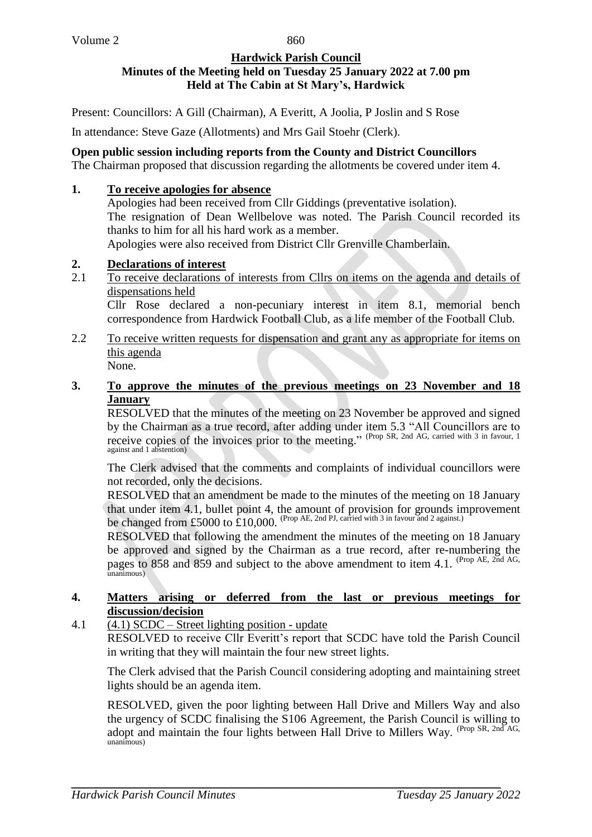860

#### **Hardwick Parish Council Minutes of the Meeting held on Tuesday 25 January 2022 at 7.00 pm Held at The Cabin at St Mary's, Hardwick**

Present: Councillors: A Gill (Chairman), A Everitt, A Joolia, P Joslin and S Rose

In attendance: Steve Gaze (Allotments) and Mrs Gail Stoehr (Clerk).

**Open public session including reports from the County and District Councillors** The Chairman proposed that discussion regarding the allotments be covered under item 4.

### **1. To receive apologies for absence**

Apologies had been received from Cllr Giddings (preventative isolation). The resignation of Dean Wellbelove was noted. The Parish Council recorded its thanks to him for all his hard work as a member. Apologies were also received from District Cllr Grenville Chamberlain.

#### **2. Declarations of interest**

- 2.1 To receive declarations of interests from Cllrs on items on the agenda and details of dispensations held Cllr Rose declared a non-pecuniary interest in item 8.1, memorial bench correspondence from Hardwick Football Club, as a life member of the Football Club.
- 2.2 To receive written requests for dispensation and grant any as appropriate for items on this agenda None.

#### **3. To approve the minutes of the previous meetings on 23 November and 18 January**

RESOLVED that the minutes of the meeting on 23 November be approved and signed by the Chairman as a true record, after adding under item 5.3 "All Councillors are to receive copies of the invoices prior to the meeting." (Prop SR, 2nd AG, carried with 3 in favour, 1) against and 1 abstention)

The Clerk advised that the comments and complaints of individual councillors were not recorded, only the decisions.

RESOLVED that an amendment be made to the minutes of the meeting on 18 January that under item 4.1, bullet point 4, the amount of provision for grounds improvement be changed from £5000 to  $£10,000$ . (Prop AE, 2nd PJ, carried with 3 in favour and 2 against.)

RESOLVED that following the amendment the minutes of the meeting on 18 January be approved and signed by the Chairman as a true record, after re-numbering the pages to 858 and 859 and subject to the above amendment to item 4.1. (Prop AE,  $_{2nd}^{\circ}$  AG, unanimous)

#### **4. Matters arising or deferred from the last or previous meetings for discussion/decision**

## 4.1 (4.1) SCDC – Street lighting position - update

RESOLVED to receive Cllr Everitt's report that SCDC have told the Parish Council in writing that they will maintain the four new street lights.

The Clerk advised that the Parish Council considering adopting and maintaining street lights should be an agenda item.

RESOLVED, given the poor lighting between Hall Drive and Millers Way and also the urgency of SCDC finalising the S106 Agreement, the Parish Council is willing to adopt and maintain the four lights between Hall Drive to Millers Way. (Prop SR, 2nd AG, unanimous)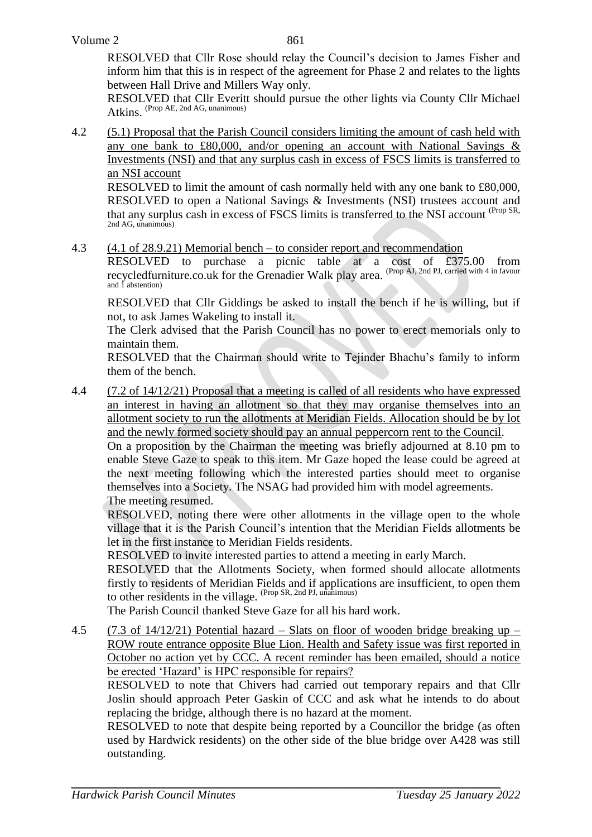RESOLVED that Cllr Rose should relay the Council's decision to James Fisher and inform him that this is in respect of the agreement for Phase 2 and relates to the lights between Hall Drive and Millers Way only.

RESOLVED that Cllr Everitt should pursue the other lights via County Cllr Michael Atkins. (Prop AE, 2nd AG, unanimous)

4.2 (5.1) Proposal that the Parish Council considers limiting the amount of cash held with any one bank to £80,000, and/or opening an account with National Savings & Investments (NSI) and that any surplus cash in excess of FSCS limits is transferred to an NSI account

RESOLVED to limit the amount of cash normally held with any one bank to £80,000, RESOLVED to open a National Savings & Investments (NSI) trustees account and that any surplus cash in excess of FSCS limits is transferred to the NSI account (Prop SR, 2nd AG, unanimous)

4.3 (4.1 of 28.9.21) Memorial bench – to consider report and recommendation

RESOLVED to purchase a picnic table at a cost of £375.00 from recycledfurniture.co.uk for the Grenadier Walk play area. <sup>(Prop AJ, 2nd PJ, carried with 4 in favour</sup> and 1 abstention)

RESOLVED that Cllr Giddings be asked to install the bench if he is willing, but if not, to ask James Wakeling to install it.

The Clerk advised that the Parish Council has no power to erect memorials only to maintain them.

RESOLVED that the Chairman should write to Tejinder Bhachu's family to inform them of the bench.

4.4 (7.2 of 14/12/21) Proposal that a meeting is called of all residents who have expressed an interest in having an allotment so that they may organise themselves into an allotment society to run the allotments at Meridian Fields. Allocation should be by lot and the newly formed society should pay an annual peppercorn rent to the Council.

On a proposition by the Chairman the meeting was briefly adjourned at 8.10 pm to enable Steve Gaze to speak to this item. Mr Gaze hoped the lease could be agreed at the next meeting following which the interested parties should meet to organise themselves into a Society. The NSAG had provided him with model agreements. The meeting resumed.

RESOLVED, noting there were other allotments in the village open to the whole village that it is the Parish Council's intention that the Meridian Fields allotments be let in the first instance to Meridian Fields residents.

RESOLVED to invite interested parties to attend a meeting in early March.

RESOLVED that the Allotments Society, when formed should allocate allotments firstly to residents of Meridian Fields and if applications are insufficient, to open them to other residents in the village. (Prop SR, 2nd PJ, unanimous)

The Parish Council thanked Steve Gaze for all his hard work.

4.5 (7.3 of 14/12/21) Potential hazard – Slats on floor of wooden bridge breaking up – ROW route entrance opposite Blue Lion. Health and Safety issue was first reported in October no action yet by CCC. A recent reminder has been emailed, should a notice be erected 'Hazard' is HPC responsible for repairs?

RESOLVED to note that Chivers had carried out temporary repairs and that Cllr Joslin should approach Peter Gaskin of CCC and ask what he intends to do about replacing the bridge, although there is no hazard at the moment.

RESOLVED to note that despite being reported by a Councillor the bridge (as often used by Hardwick residents) on the other side of the blue bridge over A428 was still outstanding.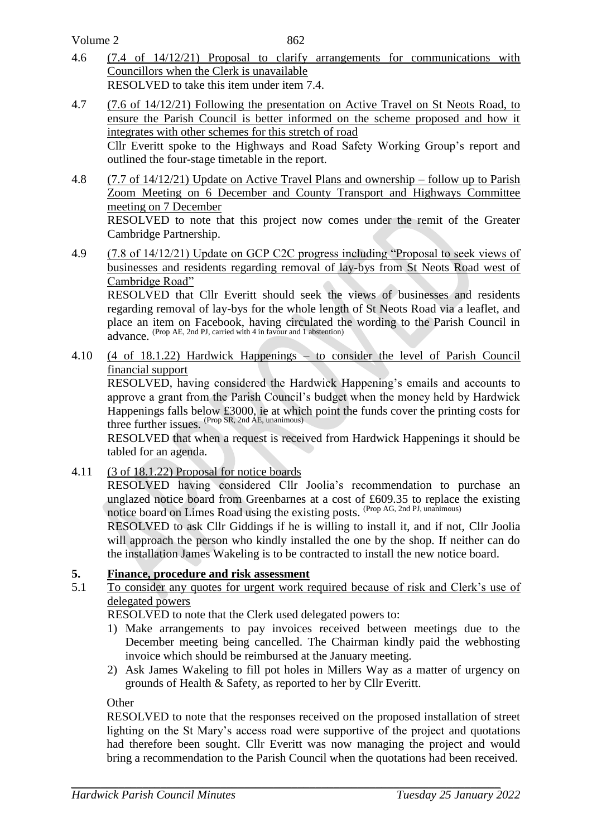Volume 2

- 4.6 (7.4 of 14/12/21) Proposal to clarify arrangements for communications with Councillors when the Clerk is unavailable RESOLVED to take this item under item 7.4.
- 4.7 (7.6 of 14/12/21) Following the presentation on Active Travel on St Neots Road, to ensure the Parish Council is better informed on the scheme proposed and how it integrates with other schemes for this stretch of road Cllr Everitt spoke to the Highways and Road Safety Working Group's report and outlined the four-stage timetable in the report.
- 4.8 (7.7 of 14/12/21) Update on Active Travel Plans and ownership follow up to Parish Zoom Meeting on 6 December and County Transport and Highways Committee meeting on 7 December RESOLVED to note that this project now comes under the remit of the Greater Cambridge Partnership.
- 4.9 (7.8 of 14/12/21) Update on GCP C2C progress including "Proposal to seek views of businesses and residents regarding removal of lay-bys from St Neots Road west of Cambridge Road"

RESOLVED that Cllr Everitt should seek the views of businesses and residents regarding removal of lay-bys for the whole length of St Neots Road via a leaflet, and place an item on Facebook, having circulated the wording to the Parish Council in advance. (Prop AE, 2nd PJ, carried with 4 in favour and 1 abstention)

4.10 (4 of 18.1.22) Hardwick Happenings – to consider the level of Parish Council financial support

RESOLVED, having considered the Hardwick Happening's emails and accounts to approve a grant from the Parish Council's budget when the money held by Hardwick Happenings falls below £3000, ie at which point the funds cover the printing costs for three further issues. (Prop SR, 2nd AE, unanimous)

RESOLVED that when a request is received from Hardwick Happenings it should be tabled for an agenda.

4.11 (3 of 18.1.22) Proposal for notice boards

RESOLVED having considered Cllr Joolia's recommendation to purchase an unglazed notice board from Greenbarnes at a cost of £609.35 to replace the existing notice board on Limes Road using the existing posts. (Prop AG, 2nd PJ, unanimous)

RESOLVED to ask Cllr Giddings if he is willing to install it, and if not, Cllr Joolia will approach the person who kindly installed the one by the shop. If neither can do the installation James Wakeling is to be contracted to install the new notice board.

# **5. Finance, procedure and risk assessment**

5.1 To consider any quotes for urgent work required because of risk and Clerk's use of delegated powers

RESOLVED to note that the Clerk used delegated powers to:

- 1) Make arrangements to pay invoices received between meetings due to the December meeting being cancelled. The Chairman kindly paid the webhosting invoice which should be reimbursed at the January meeting.
- 2) Ask James Wakeling to fill pot holes in Millers Way as a matter of urgency on grounds of Health & Safety, as reported to her by Cllr Everitt.

**Other** 

RESOLVED to note that the responses received on the proposed installation of street lighting on the St Mary's access road were supportive of the project and quotations had therefore been sought. Cllr Everitt was now managing the project and would bring a recommendation to the Parish Council when the quotations had been received.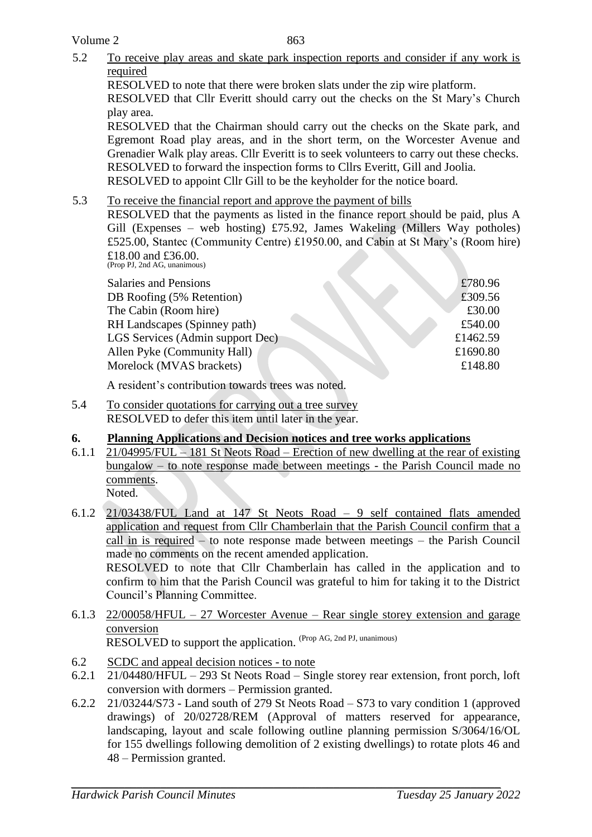863

5.2 To receive play areas and skate park inspection reports and consider if any work is required RESOLVED to note that there were broken slats under the zip wire platform. RESOLVED that Cllr Everitt should carry out the checks on the St Mary's Church

play area. RESOLVED that the Chairman should carry out the checks on the Skate park, and

Egremont Road play areas, and in the short term, on the Worcester Avenue and Grenadier Walk play areas. Cllr Everitt is to seek volunteers to carry out these checks. RESOLVED to forward the inspection forms to Cllrs Everitt, Gill and Joolia. RESOLVED to appoint Cllr Gill to be the keyholder for the notice board.

# 5.3 To receive the financial report and approve the payment of bills

RESOLVED that the payments as listed in the finance report should be paid, plus A Gill (Expenses – web hosting) £75.92, James Wakeling (Millers Way potholes) £525.00, Stantec (Community Centre) £1950.00, and Cabin at St Mary's (Room hire) £18.00 and £36.00. (Prop PJ, 2nd AG, unanimous)

| Salaries and Pensions            | £780.96  |
|----------------------------------|----------|
| DB Roofing (5% Retention)        | £309.56  |
| The Cabin (Room hire)            | £30.00   |
| RH Landscapes (Spinney path)     | £540.00  |
| LGS Services (Admin support Dec) | £1462.59 |
| Allen Pyke (Community Hall)      | £1690.80 |
| Morelock (MVAS brackets)         | £148.80  |
|                                  |          |

A resident's contribution towards trees was noted.

5.4 To consider quotations for carrying out a tree survey RESOLVED to defer this item until later in the year.

# **6. Planning Applications and Decision notices and tree works applications**

- 6.1.1 21/04995/FUL 181 St Neots Road Erection of new dwelling at the rear of existing bungalow – to note response made between meetings - the Parish Council made no comments. Noted.
- 6.1.2 21/03438/FUL Land at 147 St Neots Road 9 self contained flats amended application and request from Cllr Chamberlain that the Parish Council confirm that a call in is required – to note response made between meetings – the Parish Council made no comments on the recent amended application. RESOLVED to note that Cllr Chamberlain has called in the application and to

confirm to him that the Parish Council was grateful to him for taking it to the District Council's Planning Committee.

- 6.1.3 22/00058/HFUL 27 Worcester Avenue Rear single storey extension and garage conversion RESOLVED to support the application. (Prop AG, 2nd PJ, unanimous)
- 6.2 SCDC and appeal decision notices to note
- 6.2.1 21/04480/HFUL 293 St Neots Road Single storey rear extension, front porch, loft conversion with dormers – Permission granted.
- 6.2.2 21/03244/S73 Land south of 279 St Neots Road S73 to vary condition 1 (approved drawings) of 20/02728/REM (Approval of matters reserved for appearance, landscaping, layout and scale following outline planning permission S/3064/16/OL for 155 dwellings following demolition of 2 existing dwellings) to rotate plots 46 and 48 – Permission granted.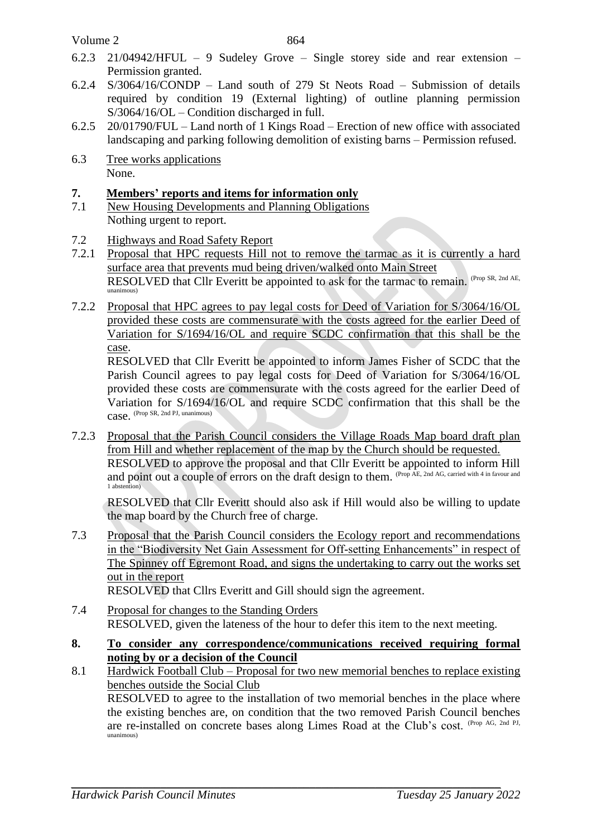Volume 2

- 6.2.3 21/04942/HFUL 9 Sudeley Grove Single storey side and rear extension Permission granted.
- 6.2.4 S/3064/16/CONDP Land south of 279 St Neots Road Submission of details required by condition 19 (External lighting) of outline planning permission S/3064/16/OL – Condition discharged in full.
- 6.2.5 20/01790/FUL Land north of 1 Kings Road Erection of new office with associated landscaping and parking following demolition of existing barns – Permission refused.
- 6.3 Tree works applications None.

# **7. Members' reports and items for information only**

- 7.1 New Housing Developments and Planning Obligations Nothing urgent to report.
- 7.2 Highways and Road Safety Report
- 7.2.1 Proposal that HPC requests Hill not to remove the tarmac as it is currently a hard surface area that prevents mud being driven/walked onto Main Street RESOLVED that Cllr Everitt be appointed to ask for the tarmac to remain. (Prop SR, 2nd AE, unanimous)
- 7.2.2 Proposal that HPC agrees to pay legal costs for Deed of Variation for S/3064/16/OL provided these costs are commensurate with the costs agreed for the earlier Deed of Variation for S/1694/16/OL and require SCDC confirmation that this shall be the case.

RESOLVED that Cllr Everitt be appointed to inform James Fisher of SCDC that the Parish Council agrees to pay legal costs for Deed of Variation for S/3064/16/OL provided these costs are commensurate with the costs agreed for the earlier Deed of Variation for S/1694/16/OL and require SCDC confirmation that this shall be the case. (Prop SR, 2nd PJ, unanimous)

7.2.3 Proposal that the Parish Council considers the Village Roads Map board draft plan from Hill and whether replacement of the map by the Church should be requested. RESOLVED to approve the proposal and that Cllr Everitt be appointed to inform Hill and point out a couple of errors on the draft design to them. (Prop AE, 2nd AG, carried with 4 in favour and 1 abstention)

RESOLVED that Cllr Everitt should also ask if Hill would also be willing to update the map board by the Church free of charge.

7.3 Proposal that the Parish Council considers the Ecology report and recommendations in the "Biodiversity Net Gain Assessment for Off-setting Enhancements" in respect of The Spinney off Egremont Road, and signs the undertaking to carry out the works set out in the report

RESOLVED that Cllrs Everitt and Gill should sign the agreement.

- 7.4 Proposal for changes to the Standing Orders RESOLVED, given the lateness of the hour to defer this item to the next meeting.
- **8. To consider any correspondence/communications received requiring formal noting by or a decision of the Council**
- 8.1 Hardwick Football Club Proposal for two new memorial benches to replace existing benches outside the Social Club

RESOLVED to agree to the installation of two memorial benches in the place where the existing benches are, on condition that the two removed Parish Council benches are re-installed on concrete bases along Limes Road at the Club's cost. (Prop AG, 2nd PJ, unanimous)